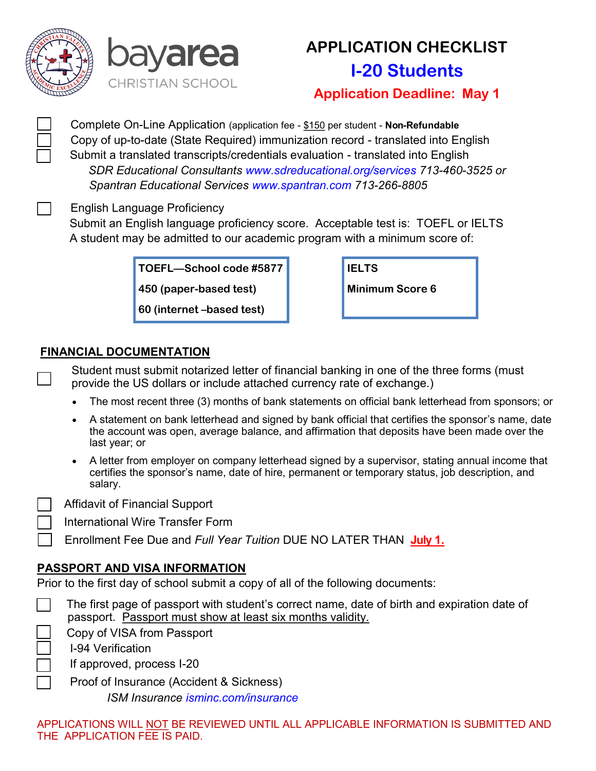



# **APPLICATION CHECKLIST I-20 Students**

**Application Deadline: May 1**

 Complete On-Line Application (application fee - \$150 per student - **Non-Refundable** Copy of up-to-date (State Required) immunization record - translated into English Submit a translated transcripts/credentials evaluation - translated into English *SDR Educational Consultants www.sdreducational.org/services 713-460-3525 or Spantran Educational Services www.spantran.com 713-266-8805*

English Language Proficiency

 Submit an English language proficiency score. Acceptable test is: TOEFL or IELTS A student may be admitted to our academic program with a minimum score of:

**TOEFL—School code #5877**

**450 (paper-based test)**

**60 (internet –based test)**

| <b>IELTS</b>           |
|------------------------|
| <b>Minimum Score 6</b> |

#### **FINANCIAL DOCUMENTATION**

Student must submit notarized letter of financial banking in one of the three forms (must provide the US dollars or include attached currency rate of exchange.)

- The most recent three (3) months of bank statements on official bank letterhead from sponsors; or
- A statement on bank letterhead and signed by bank official that certifies the sponsor's name, date the account was open, average balance, and affirmation that deposits have been made over the last year; or
- A letter from employer on company letterhead signed by a supervisor, stating annual income that certifies the sponsor's name, date of hire, permanent or temporary status, job description, and salary.

Affidavit of Financial Support

International Wire Transfer Form

Enrollment Fee Due and *Full Year Tuition* DUE NO LATER THAN **July 1.**

#### **PASSPORT AND VISA INFORMATION**

Prior to the first day of school submit a copy of all of the following documents:

| The first page of passport with student's correct name, date of birth and expiration date of |  |
|----------------------------------------------------------------------------------------------|--|
| passport. Passport must show at least six months validity.                                   |  |

Copy of VISA from Passport

I-94 Verification

If approved, process I-20

 Proof of Insurance (Accident & Sickness) *ISM Insurance isminc.com/insurance*